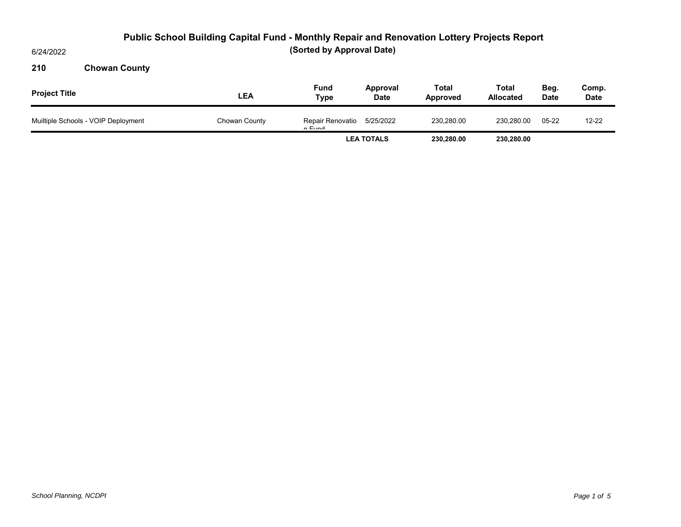6/24/2022

### **210 Chowan County**

| <b>Project Title</b>                | LEA           | <b>Fund</b><br>Type        | Approval<br><b>Date</b> | Total<br>Approved | <b>Total</b><br><b>Allocated</b> | Beg.<br><b>Date</b> | Comp.<br><b>Date</b> |
|-------------------------------------|---------------|----------------------------|-------------------------|-------------------|----------------------------------|---------------------|----------------------|
| Muiltiple Schools - VOIP Deployment | Chowan County | Repair Renovatio<br>n Eund | 5/25/2022               | 230,280.00        | 230.280.00                       | $05 - 22$           | $12 - 22$            |
|                                     |               | <b>LEA TOTALS</b>          |                         | 230.280.00        | 230,280.00                       |                     |                      |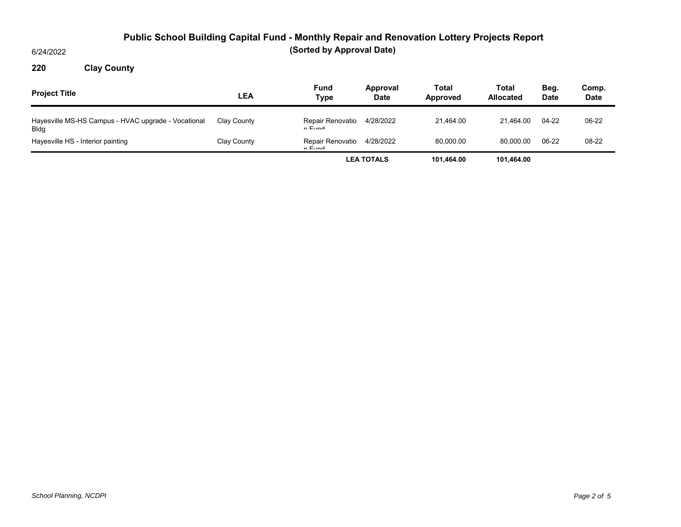6/24/2022

### **220 Clay County**

| <b>Project Title</b>                                               | LEA         | <b>Fund</b><br>Type        | Approval<br><b>Date</b> | Total<br>Approved | Total<br><b>Allocated</b> | Beg.<br><b>Date</b> | Comp.<br><b>Date</b> |
|--------------------------------------------------------------------|-------------|----------------------------|-------------------------|-------------------|---------------------------|---------------------|----------------------|
| Hayesville MS-HS Campus - HVAC upgrade - Vocational<br><b>Bldg</b> | Clay County | Repair Renovatio<br>n Eund | 4/28/2022               | 21.464.00         | 21.464.00                 | 04-22               | 06-22                |
| Hayesville HS - Interior painting                                  | Clay County | Repair Renovatio<br>n Eund | 4/28/2022               | 80.000.00         | 80.000.00                 | 06-22               | 08-22                |
|                                                                    |             | <b>LEA TOTALS</b>          |                         | 101.464.00        | 101.464.00                |                     |                      |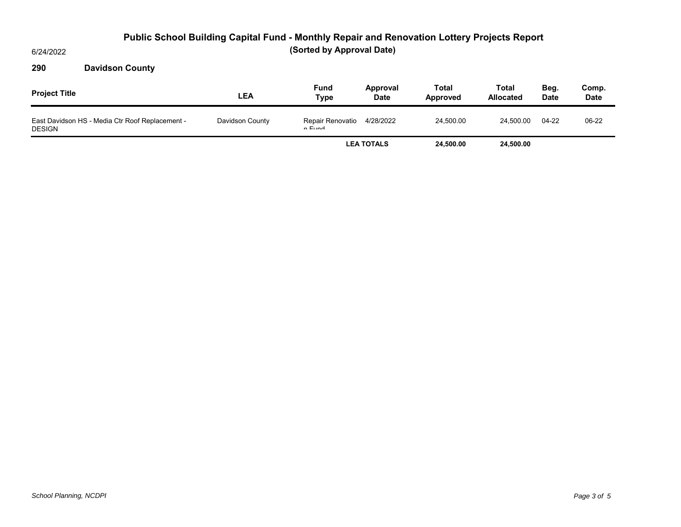6/24/2022

### **290 Davidson County**

| <b>Project Title</b>                                             | LEA             | <b>Fund</b><br>Type        | Approval<br><b>Date</b> | Total<br><b>Approved</b> | <b>Total</b><br><b>Allocated</b> | Beg.<br><b>Date</b> | Comp.<br><b>Date</b> |
|------------------------------------------------------------------|-----------------|----------------------------|-------------------------|--------------------------|----------------------------------|---------------------|----------------------|
| East Davidson HS - Media Ctr Roof Replacement -<br><b>DESIGN</b> | Davidson County | Repair Renovatio<br>n Eund | 4/28/2022               | 24.500.00                | 24.500.00                        | 04-22               | 06-22                |
|                                                                  |                 | <b>LEA TOTALS</b>          |                         | 24.500.00                | 24,500.00                        |                     |                      |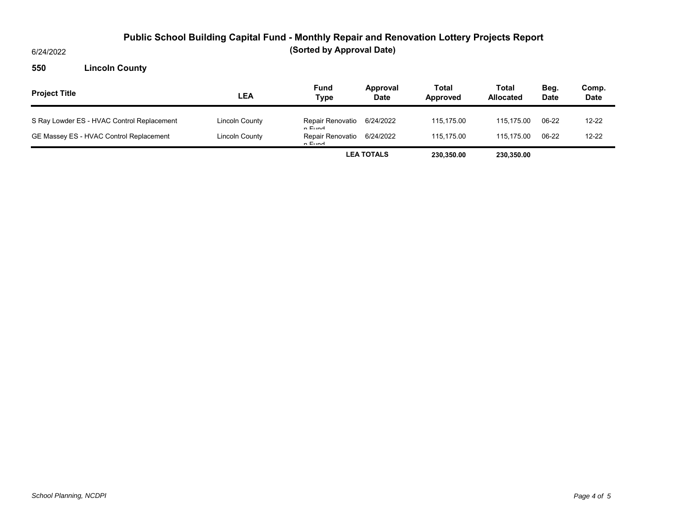6/24/2022

### **550 Lincoln County**

| <b>Project Title</b>                       | LEA            | Fund<br>Type               | Approval<br><b>Date</b> | Total<br>Approved | Total<br><b>Allocated</b> | Beg.<br><b>Date</b> | Comp.<br><b>Date</b> |
|--------------------------------------------|----------------|----------------------------|-------------------------|-------------------|---------------------------|---------------------|----------------------|
| S Ray Lowder ES - HVAC Control Replacement | Lincoln County | Repair Renovatio<br>n Eund | 6/24/2022               | 115.175.00        | 115.175.00                | 06-22               | $12 - 22$            |
| GE Massey ES - HVAC Control Replacement    | Lincoln County | Repair Renovatio<br>n Eund | 6/24/2022               | 115.175.00        | 115.175.00                | 06-22               | $12 - 22$            |
|                                            |                | <b>LEA TOTALS</b>          |                         | 230.350.00        | 230.350.00                |                     |                      |